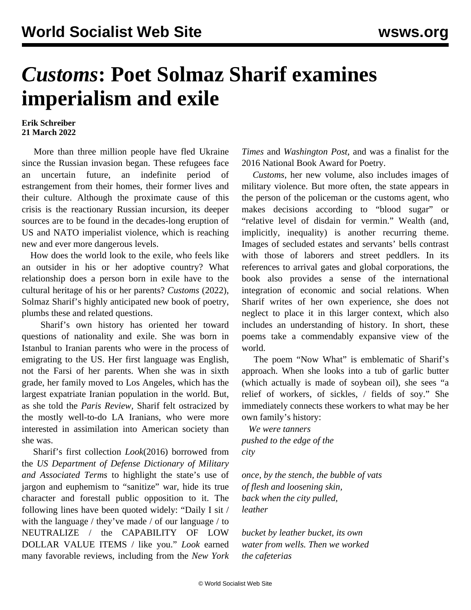# *Customs***: Poet Solmaz Sharif examines imperialism and exile**

#### **Erik Schreiber 21 March 2022**

 More than three million people have fled Ukraine since the Russian invasion began. These refugees face an uncertain future, an indefinite period of estrangement from their homes, their former lives and their culture. Although the proximate cause of this crisis is the reactionary Russian incursion, its deeper sources are to be found in the decades-long eruption of US and NATO imperialist violence, which is reaching new and ever more dangerous levels.

 How does the world look to the exile, who feels like an outsider in his or her adoptive country? What relationship does a person born in exile have to the cultural heritage of his or her parents? *Customs* (2022), Solmaz Sharif's highly anticipated new book of poetry, plumbs these and related questions.

 Sharif's own history has oriented her toward questions of nationality and exile. She was born in Istanbul to Iranian parents who were in the process of emigrating to the US. Her first language was English, not the Farsi of her parents. When she was in sixth grade, her family moved to Los Angeles, which has the largest expatriate Iranian population in the world. But, as she told the *Paris Review,* Sharif felt ostracized by the mostly well-to-do LA Iranians, who were more interested in assimilation into American society than she was.

 Sharif's first collection *Look*(2016) borrowed from the *US Department of Defense Dictionary of Military and Associated Terms* to highlight the state's use of jargon and euphemism to "sanitize" war, hide its true character and forestall public opposition to it. The following lines have been quoted widely: "Daily I sit / with the language / they've made / of our language / to NEUTRALIZE / the CAPABILITY OF LOW DOLLAR VALUE ITEMS / like you." *Look* earned many favorable reviews, including from the *New York* *Times* and *Washington Post,* and was a finalist for the 2016 National Book Award for Poetry.

 *Customs*, her new volume, also includes images of military violence. But more often, the state appears in the person of the policeman or the customs agent, who makes decisions according to "blood sugar" or "relative level of disdain for vermin." Wealth (and, implicitly, inequality) is another recurring theme. Images of secluded estates and servants' bells contrast with those of laborers and street peddlers. In its references to arrival gates and global corporations, the book also provides a sense of the international integration of economic and social relations. When Sharif writes of her own experience, she does not neglect to place it in this larger context, which also includes an understanding of history. In short, these poems take a commendably expansive view of the world.

 The poem "Now What" is emblematic of Sharif's approach. When she looks into a tub of garlic butter (which actually is made of soybean oil), she sees "a relief of workers, of sickles, / fields of soy." She immediately connects these workers to what may be her own family's history:

 *We were tanners pushed to the edge of the city*

*once, by the stench, the bubble of vats of flesh and loosening skin, back when the city pulled, leather*

*bucket by leather bucket, its own water from wells. Then we worked the cafeterias*